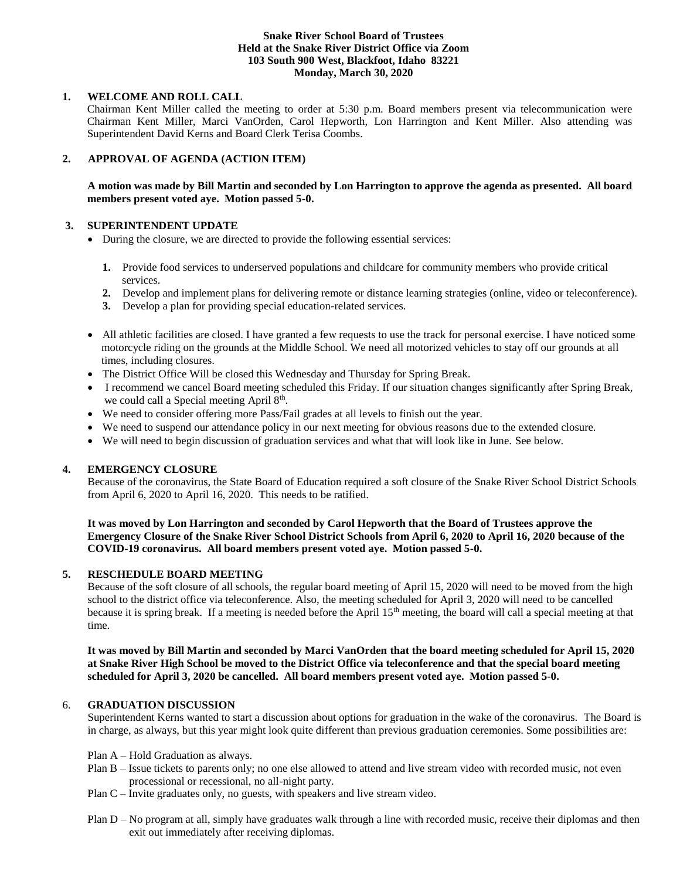#### **Snake River School Board of Trustees Held at the Snake River District Office via Zoom 103 South 900 West, Blackfoot, Idaho 83221 Monday, March 30, 2020**

## **1. WELCOME AND ROLL CALL**

Chairman Kent Miller called the meeting to order at 5:30 p.m. Board members present via telecommunication were Chairman Kent Miller, Marci VanOrden, Carol Hepworth, Lon Harrington and Kent Miller. Also attending was Superintendent David Kerns and Board Clerk Terisa Coombs.

# **2. APPROVAL OF AGENDA (ACTION ITEM)**

# **A motion was made by Bill Martin and seconded by Lon Harrington to approve the agenda as presented. All board members present voted aye. Motion passed 5-0.**

## **3. SUPERINTENDENT UPDATE**

- During the closure, we are directed to provide the following essential services:
	- **1.** Provide food services to underserved populations and childcare for community members who provide critical services.
	- **2.** Develop and implement plans for delivering remote or distance learning strategies (online, video or teleconference).
	- **3.** Develop a plan for providing special education-related services.
- All athletic facilities are closed. I have granted a few requests to use the track for personal exercise. I have noticed some motorcycle riding on the grounds at the Middle School. We need all motorized vehicles to stay off our grounds at all times, including closures.
- The District Office Will be closed this Wednesday and Thursday for Spring Break.
- I recommend we cancel Board meeting scheduled this Friday. If our situation changes significantly after Spring Break, we could call a Special meeting April 8<sup>th</sup>.
- We need to consider offering more Pass/Fail grades at all levels to finish out the year.
- We need to suspend our attendance policy in our next meeting for obvious reasons due to the extended closure.
- We will need to begin discussion of graduation services and what that will look like in June. See below.

# **4. EMERGENCY CLOSURE**

Because of the coronavirus, the State Board of Education required a soft closure of the Snake River School District Schools from April 6, 2020 to April 16, 2020. This needs to be ratified.

## **It was moved by Lon Harrington and seconded by Carol Hepworth that the Board of Trustees approve the Emergency Closure of the Snake River School District Schools from April 6, 2020 to April 16, 2020 because of the COVID-19 coronavirus. All board members present voted aye. Motion passed 5-0.**

# **5. RESCHEDULE BOARD MEETING**

Because of the soft closure of all schools, the regular board meeting of April 15, 2020 will need to be moved from the high school to the district office via teleconference. Also, the meeting scheduled for April 3, 2020 will need to be cancelled because it is spring break. If a meeting is needed before the April 15<sup>th</sup> meeting, the board will call a special meeting at that time.

**It was moved by Bill Martin and seconded by Marci VanOrden that the board meeting scheduled for April 15, 2020 at Snake River High School be moved to the District Office via teleconference and that the special board meeting scheduled for April 3, 2020 be cancelled. All board members present voted aye. Motion passed 5-0.**

### 6. **GRADUATION DISCUSSION**

Superintendent Kerns wanted to start a discussion about options for graduation in the wake of the coronavirus. The Board is in charge, as always, but this year might look quite different than previous graduation ceremonies. Some possibilities are:

- Plan A Hold Graduation as always.
- Plan B Issue tickets to parents only; no one else allowed to attend and live stream video with recorded music, not even processional or recessional, no all-night party.
- Plan C Invite graduates only, no guests, with speakers and live stream video.
- Plan D No program at all, simply have graduates walk through a line with recorded music, receive their diplomas and then exit out immediately after receiving diplomas.